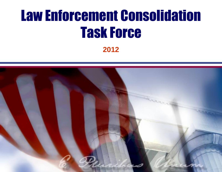# Law Enforcement Consolidation Task Force

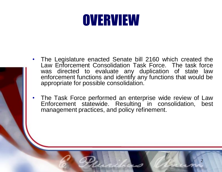# **OVERVIEW**

- 
- The Legislature enacted Senate bill 2160 which created the Law Enforcement Consolidation Task Force. The task force was directed to evaluate any duplication of state law enforcement functions and identify any functions that would be appropriate for possible consolidation.
- The Task Force performed an enterprise wide review of Law Enforcement statewide. Resulting in consolidation, best management practices, and policy refinement.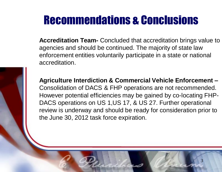**Accreditation Team-** Concluded that accreditation brings value to agencies and should be continued. The majority of state law enforcement entities voluntarily participate in a state or national accreditation.

**Agriculture Interdiction & Commercial Vehicle Enforcement –** Consolidation of DACS & FHP operations are not recommended. However potential efficiencies may be gained by co-locating FHP-DACS operations on US 1,US 17, & US 27. Further operational review is underway and should be ready for consideration prior to the June 30, 2012 task force expiration.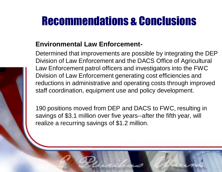#### **Environmental Law Enforcement-**

Determined that improvements are possible by integrating the DEP Division of Law Enforcement and the DACS Office of Agricultural Law Enforcement patrol officers and investigators into the FWC Division of Law Enforcement generating cost efficiencies and reductions in administrative and operating costs through improved staff coordination, equipment use and policy development.

190 positions moved from DEP and DACS to FWC, resulting in savings of \$3.1 million over five years--after the fifth year, will realize a recurring savings of \$1.2 million.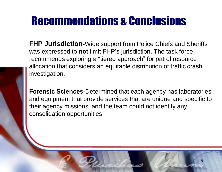**FHP Jurisdiction-**Wide support from Police Chiefs and Sheriffs was expressed to **not** limit FHP's jurisdiction. The task force recommends exploring a "tiered approach" for patrol resource allocation that considers an equitable distribution of traffic crash investigation.

**Forensic Sciences-**Determined that each agency has laboratories and equipment that provide services that are unique and specific to their agency missions, and the team could not identify any consolidation opportunities.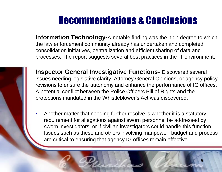**Information Technology-A** notable finding was the high degree to which the law enforcement community already has undertaken and completed consolidation initiatives, centralization and efficient sharing of data and processes. The report suggests several best practices in the IT environment.



**Inspector General Investigative Functions-** Discovered several issues needing legislative clarity, Attorney General Opinions, or agency policy revisions to ensure the autonomy and enhance the performance of IG offices. A potential conflict between the Police Officers Bill of Rights and the protections mandated in the Whistleblower's Act was discovered.

• Another matter that needing further resolve is whether it is a statutory requirement for allegations against sworn personnel be addressed by sworn investigators, or if civilian investigators could handle this function. Issues such as these and others involving manpower, budget and process are critical to ensuring that agency IG offices remain effective.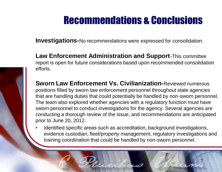**Investigations-**No recommendations were expressed for consolidation.

**Law Enforcement Administration and Support**-This committee report is open for future considerations based upon recommended consolidation efforts.

**Sworn Law Enforcement Vs. Civilianization-Reviewed numerous** positions filled by sworn law enforcement personnel throughout state agencies that are handling duties that could potentially be handled by non-sworn personnel. The team also explored whether agencies with a regulatory function must have sworn personnel to conduct investigations for the agency. Several agencies are conducting a thorough review of the issue, and recommendations are anticipated prior to June 20, 2012.

• Identified specific areas such as accreditation, background investigations, evidence custodian, fleet/property management, regulatory investigations and training coordination that could be handled by non-sworn personnel.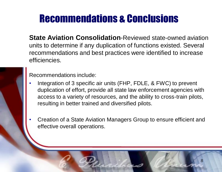**State Aviation Consolidation**-Reviewed state-owned aviation units to determine if any duplication of functions existed. Several recommendations and best practices were identified to increase efficiencies.



Recommendations include:

- Integration of 3 specific air units (FHP, FDLE, & FWC) to prevent duplication of effort, provide all state law enforcement agencies with access to a variety of resources, and the ability to cross-train pilots, resulting in better trained and diversified pilots.
- Creation of a State Aviation Managers Group to ensure efficient and effective overall operations.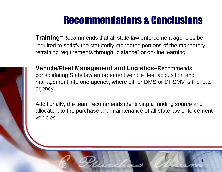**Training**-Recommends that all state law enforcement agencies be required to satisfy the statutorily mandated portions of the mandatory retraining requirements through "distance" or on-line learning.



**Vehicle/Fleet Management and Logistics–**Recommends consolidating State law enforcement vehicle fleet acquisition and management into one agency, where either DMS or DHSMV is the lead agency.

Additionally, the team recommends identifying a funding source and allocate it to the purchase and maintenance of all state law enforcement vehicles.